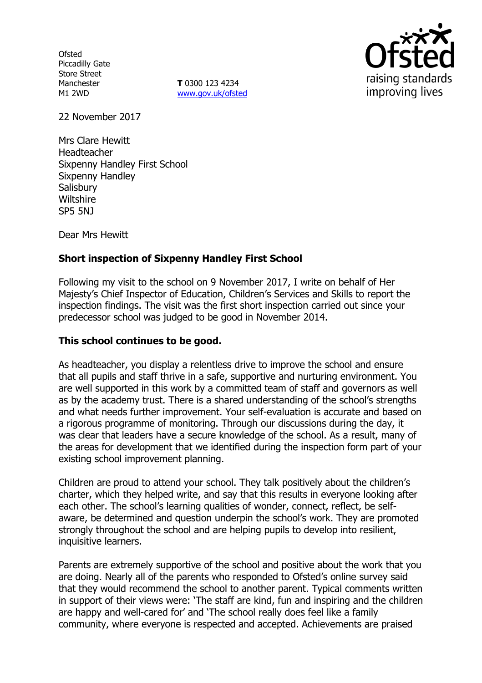**Ofsted** Piccadilly Gate Store Street Manchester M1 2WD

**T** 0300 123 4234 www.gov.uk/ofsted



22 November 2017

Mrs Clare Hewitt Headteacher Sixpenny Handley First School Sixpenny Handley **Salisbury Wiltshire** SP5 5NJ

Dear Mrs Hewitt

# **Short inspection of Sixpenny Handley First School**

Following my visit to the school on 9 November 2017, I write on behalf of Her Majesty's Chief Inspector of Education, Children's Services and Skills to report the inspection findings. The visit was the first short inspection carried out since your predecessor school was judged to be good in November 2014.

### **This school continues to be good.**

As headteacher, you display a relentless drive to improve the school and ensure that all pupils and staff thrive in a safe, supportive and nurturing environment. You are well supported in this work by a committed team of staff and governors as well as by the academy trust. There is a shared understanding of the school's strengths and what needs further improvement. Your self-evaluation is accurate and based on a rigorous programme of monitoring. Through our discussions during the day, it was clear that leaders have a secure knowledge of the school. As a result, many of the areas for development that we identified during the inspection form part of your existing school improvement planning.

Children are proud to attend your school. They talk positively about the children's charter, which they helped write, and say that this results in everyone looking after each other. The school's learning qualities of wonder, connect, reflect, be selfaware, be determined and question underpin the school's work. They are promoted strongly throughout the school and are helping pupils to develop into resilient, inquisitive learners.

Parents are extremely supportive of the school and positive about the work that you are doing. Nearly all of the parents who responded to Ofsted's online survey said that they would recommend the school to another parent. Typical comments written in support of their views were: 'The staff are kind, fun and inspiring and the children are happy and well-cared for' and 'The school really does feel like a family community, where everyone is respected and accepted. Achievements are praised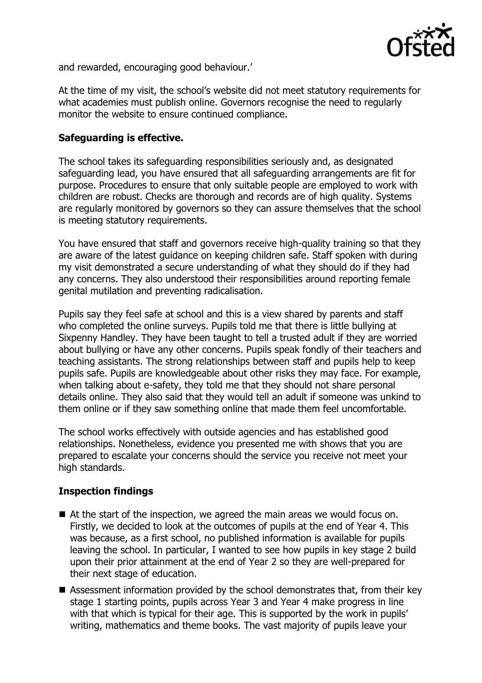

and rewarded, encouraging good behaviour.'

At the time of my visit, the school's website did not meet statutory requirements for what academies must publish online. Governors recognise the need to regularly monitor the website to ensure continued compliance.

## **Safeguarding is effective.**

The school takes its safeguarding responsibilities seriously and, as designated safeguarding lead, you have ensured that all safeguarding arrangements are fit for purpose. Procedures to ensure that only suitable people are employed to work with children are robust. Checks are thorough and records are of high quality. Systems are regularly monitored by governors so they can assure themselves that the school is meeting statutory requirements.

You have ensured that staff and governors receive high-quality training so that they are aware of the latest guidance on keeping children safe. Staff spoken with during my visit demonstrated a secure understanding of what they should do if they had any concerns. They also understood their responsibilities around reporting female genital mutilation and preventing radicalisation.

Pupils say they feel safe at school and this is a view shared by parents and staff who completed the online surveys. Pupils told me that there is little bullying at Sixpenny Handley. They have been taught to tell a trusted adult if they are worried about bullying or have any other concerns. Pupils speak fondly of their teachers and teaching assistants. The strong relationships between staff and pupils help to keep pupils safe. Pupils are knowledgeable about other risks they may face. For example, when talking about e-safety, they told me that they should not share personal details online. They also said that they would tell an adult if someone was unkind to them online or if they saw something online that made them feel uncomfortable.

The school works effectively with outside agencies and has established good relationships. Nonetheless, evidence you presented me with shows that you are prepared to escalate your concerns should the service you receive not meet your high standards.

# **Inspection findings**

- At the start of the inspection, we agreed the main areas we would focus on. Firstly, we decided to look at the outcomes of pupils at the end of Year 4. This was because, as a first school, no published information is available for pupils leaving the school. In particular, I wanted to see how pupils in key stage 2 build upon their prior attainment at the end of Year 2 so they are well-prepared for their next stage of education.
- Assessment information provided by the school demonstrates that, from their key stage 1 starting points, pupils across Year 3 and Year 4 make progress in line with that which is typical for their age. This is supported by the work in pupils' writing, mathematics and theme books. The vast majority of pupils leave your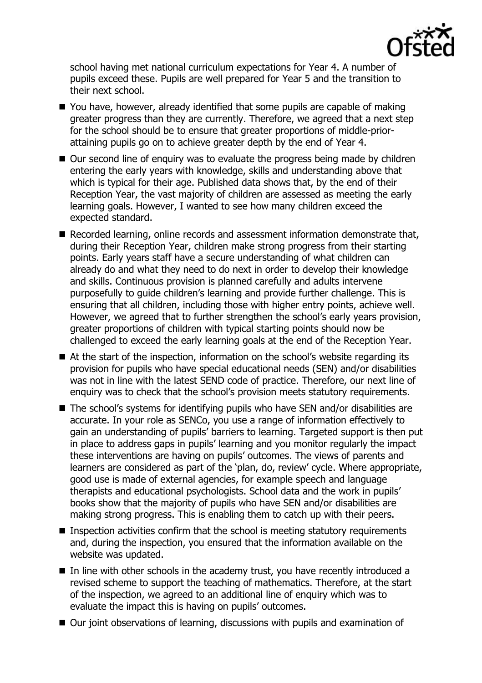

school having met national curriculum expectations for Year 4. A number of pupils exceed these. Pupils are well prepared for Year 5 and the transition to their next school.

- You have, however, already identified that some pupils are capable of making greater progress than they are currently. Therefore, we agreed that a next step for the school should be to ensure that greater proportions of middle-priorattaining pupils go on to achieve greater depth by the end of Year 4.
- Our second line of enguiry was to evaluate the progress being made by children entering the early years with knowledge, skills and understanding above that which is typical for their age. Published data shows that, by the end of their Reception Year, the vast majority of children are assessed as meeting the early learning goals. However, I wanted to see how many children exceed the expected standard.
- Recorded learning, online records and assessment information demonstrate that, during their Reception Year, children make strong progress from their starting points. Early years staff have a secure understanding of what children can already do and what they need to do next in order to develop their knowledge and skills. Continuous provision is planned carefully and adults intervene purposefully to guide children's learning and provide further challenge. This is ensuring that all children, including those with higher entry points, achieve well. However, we agreed that to further strengthen the school's early years provision, greater proportions of children with typical starting points should now be challenged to exceed the early learning goals at the end of the Reception Year.
- At the start of the inspection, information on the school's website regarding its provision for pupils who have special educational needs (SEN) and/or disabilities was not in line with the latest SEND code of practice. Therefore, our next line of enquiry was to check that the school's provision meets statutory requirements.
- The school's systems for identifying pupils who have SEN and/or disabilities are accurate. In your role as SENCo, you use a range of information effectively to gain an understanding of pupils' barriers to learning. Targeted support is then put in place to address gaps in pupils' learning and you monitor regularly the impact these interventions are having on pupils' outcomes. The views of parents and learners are considered as part of the 'plan, do, review' cycle. Where appropriate, good use is made of external agencies, for example speech and language therapists and educational psychologists. School data and the work in pupils' books show that the majority of pupils who have SEN and/or disabilities are making strong progress. This is enabling them to catch up with their peers.
- **Inspection activities confirm that the school is meeting statutory requirements** and, during the inspection, you ensured that the information available on the website was updated.
- In line with other schools in the academy trust, you have recently introduced a revised scheme to support the teaching of mathematics. Therefore, at the start of the inspection, we agreed to an additional line of enquiry which was to evaluate the impact this is having on pupils' outcomes.
- Our joint observations of learning, discussions with pupils and examination of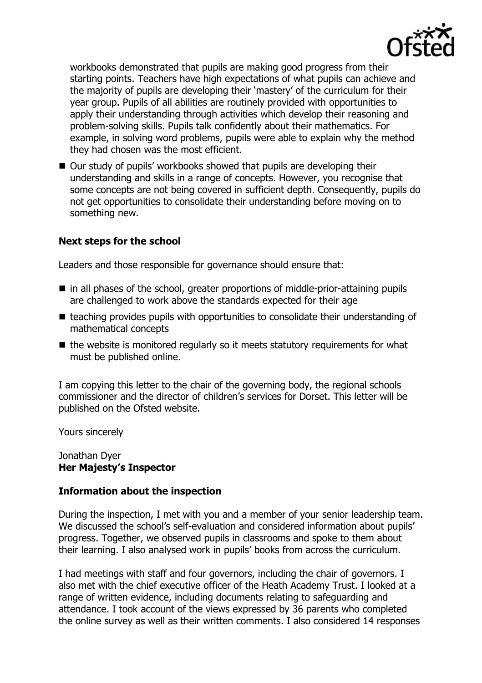

workbooks demonstrated that pupils are making good progress from their starting points. Teachers have high expectations of what pupils can achieve and the majority of pupils are developing their 'mastery' of the curriculum for their year group. Pupils of all abilities are routinely provided with opportunities to apply their understanding through activities which develop their reasoning and problem-solving skills. Pupils talk confidently about their mathematics. For example, in solving word problems, pupils were able to explain why the method they had chosen was the most efficient.

■ Our study of pupils' workbooks showed that pupils are developing their understanding and skills in a range of concepts. However, you recognise that some concepts are not being covered in sufficient depth. Consequently, pupils do not get opportunities to consolidate their understanding before moving on to something new.

# **Next steps for the school**

Leaders and those responsible for governance should ensure that:

- in all phases of the school, greater proportions of middle-prior-attaining pupils are challenged to work above the standards expected for their age
- $\blacksquare$  teaching provides pupils with opportunities to consolidate their understanding of mathematical concepts
- $\blacksquare$  the website is monitored regularly so it meets statutory requirements for what must be published online.

I am copying this letter to the chair of the governing body, the regional schools commissioner and the director of children's services for Dorset. This letter will be published on the Ofsted website.

Yours sincerely

#### Jonathan Dyer **Her Majesty's Inspector**

## **Information about the inspection**

During the inspection, I met with you and a member of your senior leadership team. We discussed the school's self-evaluation and considered information about pupils' progress. Together, we observed pupils in classrooms and spoke to them about their learning. I also analysed work in pupils' books from across the curriculum.

I had meetings with staff and four governors, including the chair of governors. I also met with the chief executive officer of the Heath Academy Trust. I looked at a range of written evidence, including documents relating to safeguarding and attendance. I took account of the views expressed by 36 parents who completed the online survey as well as their written comments. I also considered 14 responses